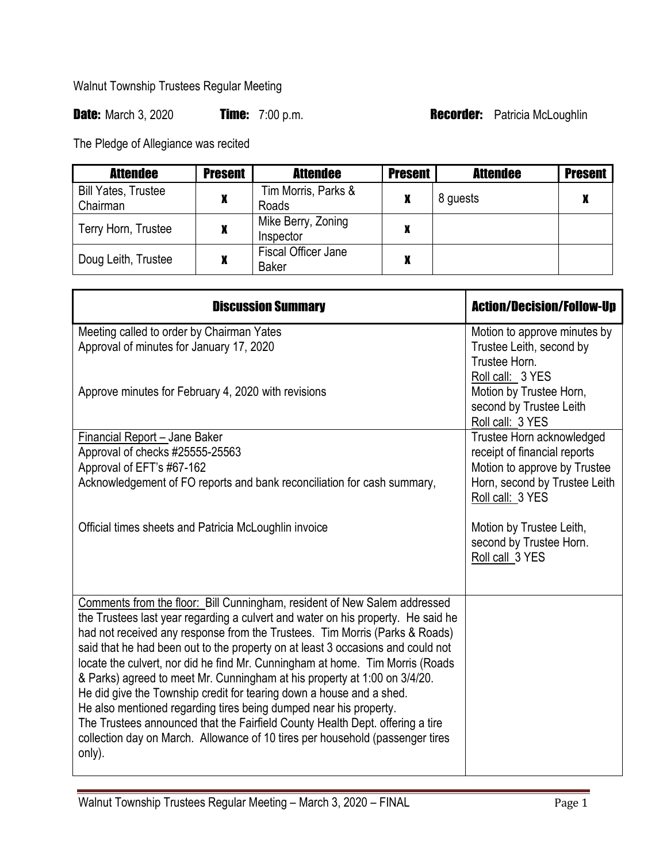Walnut Township Trustees Regular Meeting

Date: March 3, 2020 **Time:** 7:00 p.m. **Recorder:** Patricia McLoughlin

The Pledge of Allegiance was recited

| <b>Attendee</b>                        | <b>Present</b> | <b>Attendee</b>                     | <b>Present</b> | <b>Attendee</b> | <b>Present</b> |
|----------------------------------------|----------------|-------------------------------------|----------------|-----------------|----------------|
| <b>Bill Yates, Trustee</b><br>Chairman |                | Tim Morris, Parks &<br>Roads        | X              | 8 guests        | л              |
| Terry Horn, Trustee                    |                | Mike Berry, Zoning<br>Inspector     | X              |                 |                |
| Doug Leith, Trustee                    |                | Fiscal Officer Jane<br><b>Baker</b> | X              |                 |                |

| <b>Discussion Summary</b>                                                                                                                                  | <b>Action/Decision/Follow-Up</b>                   |  |
|------------------------------------------------------------------------------------------------------------------------------------------------------------|----------------------------------------------------|--|
| Meeting called to order by Chairman Yates                                                                                                                  | Motion to approve minutes by                       |  |
| Approval of minutes for January 17, 2020                                                                                                                   | Trustee Leith, second by                           |  |
|                                                                                                                                                            | Trustee Horn.                                      |  |
|                                                                                                                                                            | Roll call: 3 YES                                   |  |
| Approve minutes for February 4, 2020 with revisions                                                                                                        | Motion by Trustee Horn,<br>second by Trustee Leith |  |
|                                                                                                                                                            | Roll call: 3 YES                                   |  |
| <b>Financial Report - Jane Baker</b>                                                                                                                       | Trustee Horn acknowledged                          |  |
| Approval of checks #25555-25563                                                                                                                            | receipt of financial reports                       |  |
| Approval of EFT's #67-162                                                                                                                                  | Motion to approve by Trustee                       |  |
| Acknowledgement of FO reports and bank reconciliation for cash summary,                                                                                    | Horn, second by Trustee Leith                      |  |
|                                                                                                                                                            | Roll call: 3 YES                                   |  |
| Official times sheets and Patricia McLoughlin invoice                                                                                                      | Motion by Trustee Leith,                           |  |
|                                                                                                                                                            | second by Trustee Horn.                            |  |
|                                                                                                                                                            | Roll call 3 YES                                    |  |
|                                                                                                                                                            |                                                    |  |
| Comments from the floor: Bill Cunningham, resident of New Salem addressed                                                                                  |                                                    |  |
| the Trustees last year regarding a culvert and water on his property. He said he                                                                           |                                                    |  |
| had not received any response from the Trustees. Tim Morris (Parks & Roads)                                                                                |                                                    |  |
| said that he had been out to the property on at least 3 occasions and could not                                                                            |                                                    |  |
| locate the culvert, nor did he find Mr. Cunningham at home. Tim Morris (Roads<br>& Parks) agreed to meet Mr. Cunningham at his property at 1:00 on 3/4/20. |                                                    |  |
| He did give the Township credit for tearing down a house and a shed.                                                                                       |                                                    |  |
| He also mentioned regarding tires being dumped near his property.                                                                                          |                                                    |  |
| The Trustees announced that the Fairfield County Health Dept. offering a tire                                                                              |                                                    |  |
| collection day on March. Allowance of 10 tires per household (passenger tires                                                                              |                                                    |  |
| only).                                                                                                                                                     |                                                    |  |
|                                                                                                                                                            |                                                    |  |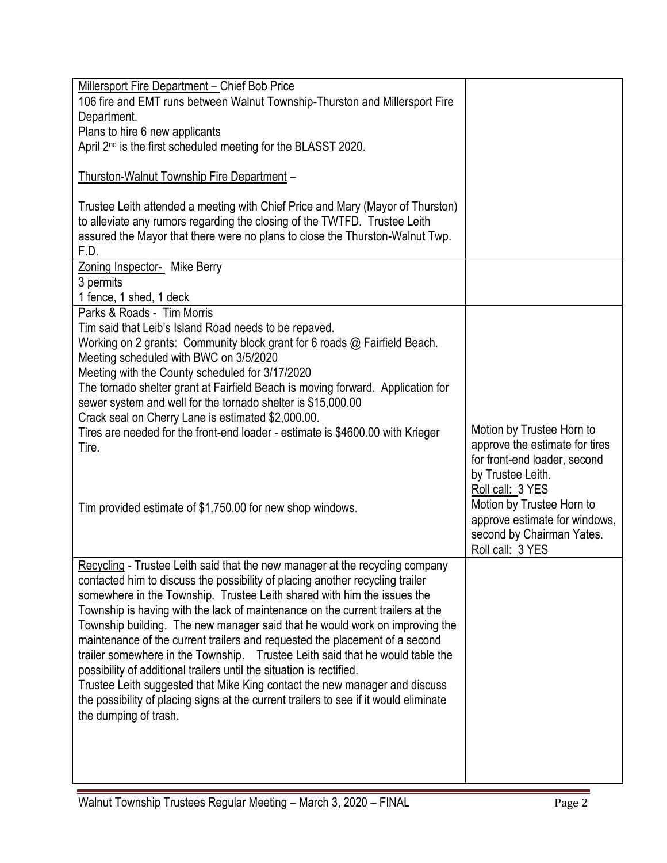| Millersport Fire Department - Chief Bob Price                                           |                                                            |
|-----------------------------------------------------------------------------------------|------------------------------------------------------------|
| 106 fire and EMT runs between Walnut Township-Thurston and Millersport Fire             |                                                            |
| Department.                                                                             |                                                            |
| Plans to hire 6 new applicants                                                          |                                                            |
| April 2nd is the first scheduled meeting for the BLASST 2020.                           |                                                            |
|                                                                                         |                                                            |
| Thurston-Walnut Township Fire Department -                                              |                                                            |
| Trustee Leith attended a meeting with Chief Price and Mary (Mayor of Thurston)          |                                                            |
| to alleviate any rumors regarding the closing of the TWTFD. Trustee Leith               |                                                            |
| assured the Mayor that there were no plans to close the Thurston-Walnut Twp.            |                                                            |
| F.D.                                                                                    |                                                            |
| Zoning Inspector- Mike Berry                                                            |                                                            |
| 3 permits                                                                               |                                                            |
| 1 fence, 1 shed, 1 deck                                                                 |                                                            |
| Parks & Roads - Tim Morris                                                              |                                                            |
| Tim said that Leib's Island Road needs to be repaved.                                   |                                                            |
| Working on 2 grants: Community block grant for 6 roads @ Fairfield Beach.               |                                                            |
| Meeting scheduled with BWC on 3/5/2020                                                  |                                                            |
| Meeting with the County scheduled for 3/17/2020                                         |                                                            |
| The tornado shelter grant at Fairfield Beach is moving forward. Application for         |                                                            |
| sewer system and well for the tornado shelter is \$15,000.00                            |                                                            |
| Crack seal on Cherry Lane is estimated \$2,000.00.                                      | Motion by Trustee Horn to                                  |
| Tires are needed for the front-end loader - estimate is \$4600.00 with Krieger<br>Tire. | approve the estimate for tires                             |
|                                                                                         | for front-end loader, second                               |
|                                                                                         | by Trustee Leith.                                          |
|                                                                                         |                                                            |
|                                                                                         |                                                            |
|                                                                                         | Roll call: 3 YES                                           |
| Tim provided estimate of \$1,750.00 for new shop windows.                               | Motion by Trustee Horn to<br>approve estimate for windows, |
|                                                                                         | second by Chairman Yates.                                  |
|                                                                                         | Roll call: 3 YES                                           |
| Recycling - Trustee Leith said that the new manager at the recycling company            |                                                            |
| contacted him to discuss the possibility of placing another recycling trailer           |                                                            |
| somewhere in the Township. Trustee Leith shared with him the issues the                 |                                                            |
| Township is having with the lack of maintenance on the current trailers at the          |                                                            |
| Township building. The new manager said that he would work on improving the             |                                                            |
| maintenance of the current trailers and requested the placement of a second             |                                                            |
| trailer somewhere in the Township. Trustee Leith said that he would table the           |                                                            |
| possibility of additional trailers until the situation is rectified.                    |                                                            |
| Trustee Leith suggested that Mike King contact the new manager and discuss              |                                                            |
| the possibility of placing signs at the current trailers to see if it would eliminate   |                                                            |
| the dumping of trash.                                                                   |                                                            |
|                                                                                         |                                                            |
|                                                                                         |                                                            |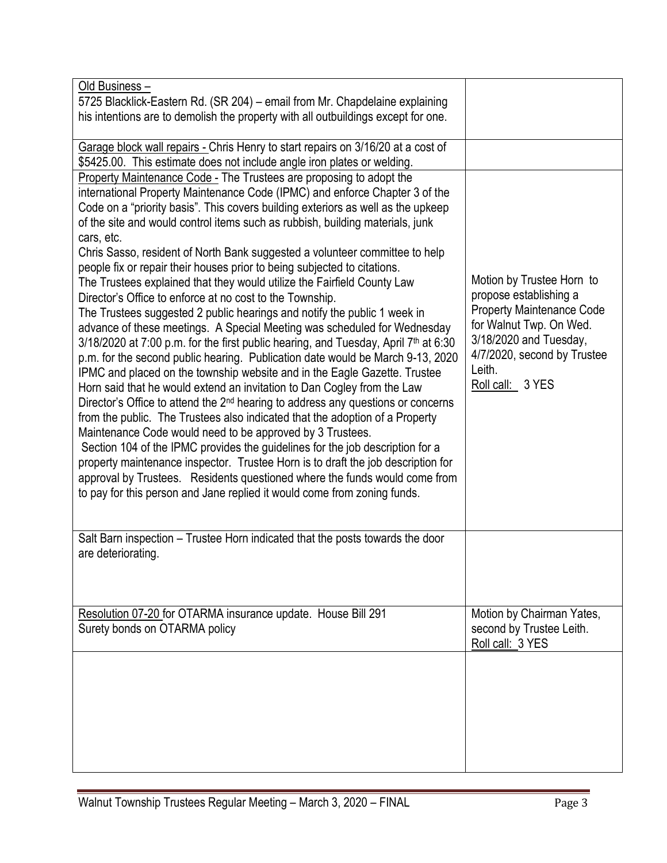| Old Business-<br>5725 Blacklick-Eastern Rd. (SR 204) - email from Mr. Chapdelaine explaining<br>his intentions are to demolish the property with all outbuildings except for one.                                                                                                                                                                                                                                                                                                                                                                                                                                                                                                                                                                                                                                                                                                                                                                                                                                                                                                                                                                                                                                                                                                                                                                                                                                                                                                                                                                                                                                                                                                                                        |                                                                                                                                                                                                           |
|--------------------------------------------------------------------------------------------------------------------------------------------------------------------------------------------------------------------------------------------------------------------------------------------------------------------------------------------------------------------------------------------------------------------------------------------------------------------------------------------------------------------------------------------------------------------------------------------------------------------------------------------------------------------------------------------------------------------------------------------------------------------------------------------------------------------------------------------------------------------------------------------------------------------------------------------------------------------------------------------------------------------------------------------------------------------------------------------------------------------------------------------------------------------------------------------------------------------------------------------------------------------------------------------------------------------------------------------------------------------------------------------------------------------------------------------------------------------------------------------------------------------------------------------------------------------------------------------------------------------------------------------------------------------------------------------------------------------------|-----------------------------------------------------------------------------------------------------------------------------------------------------------------------------------------------------------|
| Garage block wall repairs - Chris Henry to start repairs on 3/16/20 at a cost of<br>\$5425.00. This estimate does not include angle iron plates or welding.                                                                                                                                                                                                                                                                                                                                                                                                                                                                                                                                                                                                                                                                                                                                                                                                                                                                                                                                                                                                                                                                                                                                                                                                                                                                                                                                                                                                                                                                                                                                                              |                                                                                                                                                                                                           |
| Property Maintenance Code - The Trustees are proposing to adopt the<br>international Property Maintenance Code (IPMC) and enforce Chapter 3 of the<br>Code on a "priority basis". This covers building exteriors as well as the upkeep<br>of the site and would control items such as rubbish, building materials, junk<br>cars, etc.<br>Chris Sasso, resident of North Bank suggested a volunteer committee to help<br>people fix or repair their houses prior to being subjected to citations.<br>The Trustees explained that they would utilize the Fairfield County Law<br>Director's Office to enforce at no cost to the Township.<br>The Trustees suggested 2 public hearings and notify the public 1 week in<br>advance of these meetings. A Special Meeting was scheduled for Wednesday<br>3/18/2020 at 7:00 p.m. for the first public hearing, and Tuesday, April 7 <sup>th</sup> at 6:30<br>p.m. for the second public hearing. Publication date would be March 9-13, 2020<br>IPMC and placed on the township website and in the Eagle Gazette. Trustee<br>Horn said that he would extend an invitation to Dan Cogley from the Law<br>Director's Office to attend the 2 <sup>nd</sup> hearing to address any questions or concerns<br>from the public. The Trustees also indicated that the adoption of a Property<br>Maintenance Code would need to be approved by 3 Trustees.<br>Section 104 of the IPMC provides the guidelines for the job description for a<br>property maintenance inspector. Trustee Horn is to draft the job description for<br>approval by Trustees. Residents questioned where the funds would come from<br>to pay for this person and Jane replied it would come from zoning funds. | Motion by Trustee Horn to<br>propose establishing a<br><b>Property Maintenance Code</b><br>for Walnut Twp. On Wed.<br>3/18/2020 and Tuesday,<br>4/7/2020, second by Trustee<br>Leith.<br>Roll call: 3 YES |
| Salt Barn inspection – Trustee Horn indicated that the posts towards the door<br>are deteriorating.                                                                                                                                                                                                                                                                                                                                                                                                                                                                                                                                                                                                                                                                                                                                                                                                                                                                                                                                                                                                                                                                                                                                                                                                                                                                                                                                                                                                                                                                                                                                                                                                                      |                                                                                                                                                                                                           |
| Resolution 07-20 for OTARMA insurance update. House Bill 291<br>Surety bonds on OTARMA policy                                                                                                                                                                                                                                                                                                                                                                                                                                                                                                                                                                                                                                                                                                                                                                                                                                                                                                                                                                                                                                                                                                                                                                                                                                                                                                                                                                                                                                                                                                                                                                                                                            | Motion by Chairman Yates,<br>second by Trustee Leith.<br>Roll call: 3 YES                                                                                                                                 |
|                                                                                                                                                                                                                                                                                                                                                                                                                                                                                                                                                                                                                                                                                                                                                                                                                                                                                                                                                                                                                                                                                                                                                                                                                                                                                                                                                                                                                                                                                                                                                                                                                                                                                                                          |                                                                                                                                                                                                           |